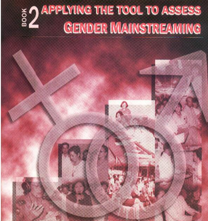# **APPLYING THE TOOL TO ASSESS**  $\frac{2}{9}$ **GENDER MAINSTREAMING**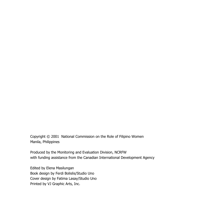Copyright  $\odot$  2001 National Commission on the Role of Filipino Women Manila, Philippines

Produced by the Monitoring and Evaluation Division, NCRFW with funding assistance from the Canadian International Development Agency

Edited by Elena Masilungan Book design by Ferdi Bolislis/Studio Uno Cover design by Fatima Lasay/Studio Uno Printed by VJ Graphic Arts, Inc.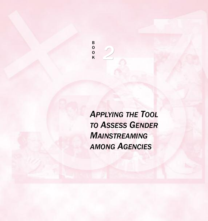$\, {\bf B}$  $\overline{0}$ <br> $\overline{0}$  $\mathsf{K}$ 

**APPLYING THE TOOL TO ASSESS GENDER MAINSTREAMING AMONG AGENCIES**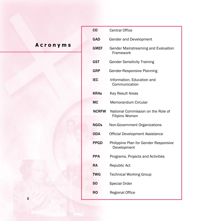# Acronyms

| co             | <b>Central Office</b>                                   |
|----------------|---------------------------------------------------------|
| <b>GAD</b>     | Gender and Development                                  |
| <b>GMEF</b>    | <b>Gender Mainstreaming and Evaluation</b><br>Framework |
| GST            | <b>Gender Sensitivity Training</b>                      |
| <b>GRP</b>     | Gender-Responsive Planning                              |
| <b>IEC</b>     | Information, Education and<br>Communication             |
| <b>KRAs</b>    | <b>Key Result Areas</b>                                 |
| <b>MC</b>      | Memorandum Circular                                     |
| <b>NCRFW</b>   | National Commission on the Role of<br>Filipino Women    |
| <b>NGOs</b>    | Non-Government Organizations                            |
| <b>ODA</b>     | <b>Official Development Assistance</b>                  |
| <b>PPGD</b>    | Philippine Plan for Gender Responsive<br>Development    |
| <b>PPA</b>     | Programs, Projects and Activities                       |
| <b>RA</b>      | Republic Act                                            |
| <b>TWG</b>     | <b>Technical Working Group</b>                          |
| S <sub>O</sub> | Special Order                                           |
| RO             | <b>Regional Office</b>                                  |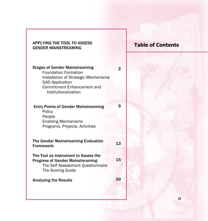#### APPLYING THE TOOL TO ASSESS **GENDER MAINSTREAMING**

| <b>Stages of Gender Mainstreaming</b><br><b>Foundation Formation</b><br><b>Installation of Strategic Mechanisms</b><br><b>GAD Application</b><br><b>Commitment Enhancement and</b><br>Institutionalization | 2  |  |
|------------------------------------------------------------------------------------------------------------------------------------------------------------------------------------------------------------|----|--|
| <b>Entry Points of Gender Mainstreaming</b><br>Policy<br>People<br><b>Enabling Mechanisms</b><br>Programs, Projects, Activities                                                                            | 9  |  |
| The Gender Mainstreaming Evaluation<br><b>Framework</b>                                                                                                                                                    | 13 |  |
| The Tool as Instrument to Assess the<br><b>Progress of Gender Mainstreaming</b><br>The Self Assessment Questionnaire<br>The Scoring Guide                                                                  | 15 |  |
| <b>Analyzing the Results</b>                                                                                                                                                                               | 39 |  |
|                                                                                                                                                                                                            |    |  |

# **Table of Contents**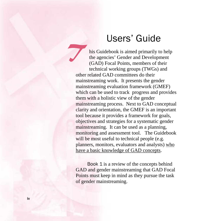# Users' Guide

his Guidebook is aimed primarily to help the agencies' Gender and Development (GAD) Focal Points, members of their technical working groups (TWGs) and other related GAD committees do their mainstreaming work. It presents the gender mainstreaming evaluation framework (GMEF) which can be used to track progress and provides them with a holistic view of the gender mainstreaming process. Next to GAD conceptual clarity and orientation, the GMEF is an important tool because it provides a framework for goals, objectives and strategies for a systematic gender mainstreaming. It can be used as a planning, monitoring and assessment tool. The Guidebook will be most useful to technical people (e.g. planners, monitors, evaluators and analysts) who have a basic knowledge of GAD concepts. 7

Book  $1$  is a review of the concepts behind GAD and gender mainstreaming that GAD Focal Points must keep in mind as they pursue the task of gender mainstreaming.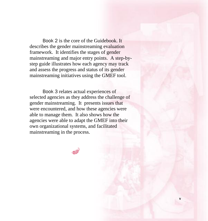Book 2 is the core of the Guidebook. It describes the gender mainstreaming evaluation framework. It identifies the stages of gender mainstreaming and major entry points. A step-bystep guide illustrates how each agency may track and assess the progress and status of its gender mainstreaming initiatives using the GMEF tool.

Book 3 relates actual experiences of selected agencies as they address the challenge of gender mainstreaming. It presents issues that were encountered, and how these agencies were able to manage them. It also shows how the agencies were able to adapt the GMEF into their own organizational systems, and facilitated mainstreaming in the process.



Y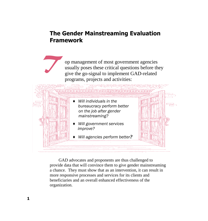# The Gender Mainstreaming Evaluation **Framework**

op management of most government agencies usually poses these critical questions before they give the go-signal to implement GAD-related programs, projects and activities:



GAD advocates and proponents are thus challenged to provide data that will convince them to give gender mainstreaming a chance. They must show that as an intervention, it can result in more responsive processes and services for its clients and beneficiaries and an overall enhanced effectiveness of the organization.

7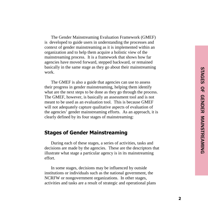The Gender Mainstreaming Evaluation Framework (GMEF) is developed to guide users in understanding the processes and context of gender mainstreaming as it is implemented within an organization and to help them acquire a holistic view of the mainstreaming process. It is a framework that shows how far agencies have moved forward, stepped backward, or remained basically in the same stage as they go about their mainstreaming work.

The GMEF is also a guide that agencies can use to assess their progress in gender mainstreaming, helping them identify what are the next steps to be done as they go through the process. The GMEF, however, is basically an assessment tool and is not meant to be used as an evaluation tool. This is because GMEF will not adequately capture qualitative aspects of evaluation of the agencies' gender mainstreaming efforts. As an approach, it is clearly defined by its four stages of mainstreaming:

#### **Stages of Gender Mainstreaming**

During each of these stages, a series of activities, tasks and decisions are made by the agencies. These are the descriptors that illustrate what stage a particular agency is in its mainstreaming effort.

In some stages, decisions may be influenced by outside institutions or individuals such as the national government, the NCRFW or nongovernment organizations. In other stages, activities and tasks are a result of strategic and operational plans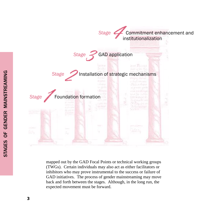

mapped out by the GAD Focal Points or technical working groups (TWGs). Certain individuals may also act as either facilitators or inhibitors who may prove instrumental to the success or failure of GAD initiatives. The process of gender mainstreaming may move back and forth between the stages. Although, in the long run, the expected movement must be forward.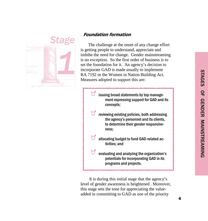

#### **Foundation formation**

The challenge at the onset of any change effort is getting people to understand, appreciate and imbibe the need for change. Gender mainstreaming is no exception. So the first order of business is to set the foundation for it. An agency's decision to incorporate GAD is made usually to implement RA 7192 or the Women in Nation Building Act. Measures adopted to support this are:

- ment expressing support for GAD and its concepts;
- reviewing existing policies, both addressing the agency's personnel and its clients, to determine their gender responsiveness;
- allocating budget to fund GAD-related activities; and
- evaluating and analyzing the organization's potentials for incorporating GAD in its programs and projects.

It is during this initial stage that the agency's level of gender awareness is heightened . Moreover, this stage sets the tone for appreciating the value - G issuing broad statements by top manage-<br>ment expressing support for GAD and its<br>concepts;<br>to determine their gender responsive-<br>ness;<br>to determine their gender responsive-<br>ness;<br>allocating budget to fund GAD-related ac-<br>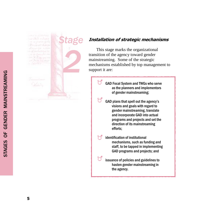**Lough Downs Y.D. Marchand Rid** 



#### **Installation of strategic mechanisms**

This stage marks the organizational transition of the agency toward gender mainstreaming. Some of the strategic mechanisms established by top management to support it are:

> **GAD Focal System and TWGs who serve** as the planners and implementors of gender mainstreaming;

GAD plans that spell out the agency's visions and goals with regard to gender mainstreaming, translate and incorporate GAD into actual programs and projects and set the direction of its mainstreaming efforts:

identification of institutional mechanisms, such as funding and staff, to be tapped in implementing GAD programs and projects; and

issuance of policies and guidelines to hasten gender mainstreaming in the agency.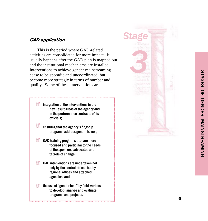#### **GAD application**

ď

This is the period where GAD -related activities are consolidated for more impact. It usually happens after the GAD plan is mapped out and the institutional mechanisms are installed. Interventions to achieve gender mainstreaming cease to be sporadic and uncoordinated, but become more strategic in terms of number and quality. Some of these interventions are:

- ₩ integration of the interventions in the Key Result Areas of the agency and in the performance contracts of its officials:
	- ensuring that the agency's flagship programs address gender issues;

GAD training programs that are more focused and particular to the needs of the sponsors, advocates and targets of change;

- GAD interventions are undertaken not only by the central offices but by regional offices and attached agencies; and
- the use of "gender lens" by field workers to develop, analyze and evaluate programs and projects.

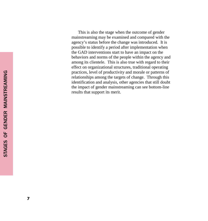This is also the stage when the outcome of gender mainstreaming may be examined and compared with the agency's status before the change was introduced. It is possible to identify a period after implementation when the GAD interventions start to have an impact on the behaviors and norms of the people within the agency and among its clientele. This is also true with regard to their effect on organizational structures, traditional operating practices, level of productivity and morale or patterns of relationships among the targets of change. Through this identification and analysis, other agencies that still doubt the impact of gender mainstreaming can see bottom -line results that support its merit.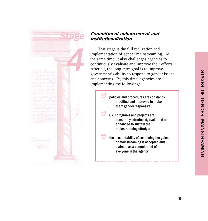#### Commitment enhancement and institutionalization

Stage

A

This stage is the full realization and implementation of gender mainstreaming. At the same time, it also challenges agencies to continuously evaluate and improve their efforts. After all, the long-term goal is to improve government's ability to respond to gender issues and concerns. By this time, agencies are implementing the following:

> policies and procedures are constantly modified and improved to make them gender responsive; GAD programs and projects are constantly introduced, evaluated and enhanced to sustain the mainstreaming effort; and the accountability of sustaining the gains of mainstreaming is accepted and claimed as a commitment of

> > everyone in the agency.

Course Loomer

12 Dean an a Des

Termin in the livings Wester Ite Jaten mediate the control of the างนาใก้เพื่องกล่ายคล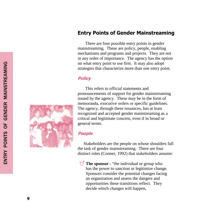### **Entry Points of Gender Mainstreaming**

There are four possible entry points in gender mainstreaming. These are policy, people, enabling mechanisms and programs and projects. They are not in any order of importance. The agency has the option on what entry point to use first. It may also adopt strategies that characterize more than one entry point.

#### Policy

This refers to official statements and pronouncements of support for gender mainstreaming issued by the agency. These may be in the form of memoranda, executive orders or specific guidelines. The agency, through these issuances, has at least recognized and accepted gender mainstreaming as a critical and legitimate concern, even if in broad or general terms.

#### People

Stakeholders are the people on whose shoulders fall the task of gender mainstreaming. There are four distinct roles (Conner, 1992) that stakeholders assume:

**The sponsor -** "the individual or group who has the power to sanction or legitimize change. Sponsors consider the potential changes facing an organization and assess the dangers and opportunities these transitions reflect. They decide which changes will happen,

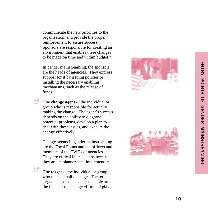communicate the new priorities to the organization, and provide the proper reinforcement to assure success. Sponsors are responsible for creating an environment that enables these changes to be made on time and within budget."

In gender mainstreaming, the sponsors are the heads of agencies. They express support for it by issuing policies or installing the necessary enabling mechanisms, such as the release of funds.

**The change agent -** "the individual or group who is responsible for actually making the change. The agent's success depends on the ability to diagnose potential problems, develop a plan to deal with these issues, and execute the change effectively."

Change agents in gender mainstreaming are the Focal Points and the officers and members of the TWGs of agencies. They are critical in its success because they are its planners and implementors.

**The target -** "the individual or group who must actually change. The term target is used because these people are the focus of the change effort and play a



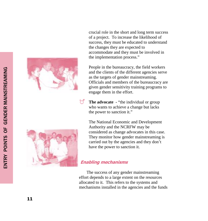



People in the bureaucracy, the field workers and the clients of the different agencies serve as the targets of gender mainstreaming. Officials and members of the bureaucracy are given gender sensitivity training programs to engage them in the effort.

**The advocate** - "the individual or group who wants to achieve a change but lacks the power to sanction it."

The National Economic and Development Authority and the NCRFW may be considered as change advocates in this case. They monitor how gender mainstreaming is carried out by the agencies and they don't have the power to sanction it.

#### **Enabling mechanisms**

The success of any gender mainstreaming effort depends to a large extent on the resources allocated to it. This refers to the systems and mechanisms installed in the agencies and the funds

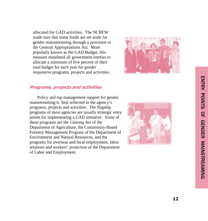allocated for GAD activities. The NCRFW made sure that some funds are set aside for gender mainstreaming through a provision in the General Appropriations Act. More popularly known as the GAD Budget, this measure mandated all government entities to allocate a minimum of five percent of their total budget for each year for gender responsive programs, projects and activities.



#### **Programs, projects and activities**

Policy and top management support for gender mainstreaming is best reflected in the agency's programs, projects and activities. The flagship programs of most agencies are usually strategic entry points for implementing a GAD initiative. Some of these programs are the *Gintong Ani* of the Department of Agriculture, the Community -Based Forestry Management Program of the Department of Environment and Natural Resources, and the programs for overseas and local employment, labor relations and workers' protection of the Department of Labor and Employment.

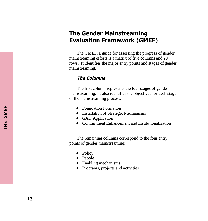## The Gender Mainstreaming **Evaluation Framework (GMEF)**

The GMEF, a guide for assessing the progress of gender mainstreaming efforts is a matrix of five columns and 20 rows. It identifies the major entry points and stages of gender mainstreaming.

#### **The Columns**

The first column represents the four stages of gender mainstreaming. It also identifies the objectives for each stage of the mainstreaming process:

- ♦ Foundation Formation
- ♦ Installation of Strategic Mechanisms
- ♦ GAD Application
- ♦ Commitment Enhancement and Institutionalization

The remaining columns correspond to the four entry points of gender mainstreaming:

- ♦ Policy
- ♦ People
- $\leftarrow$  Enabling mechanisms
- ♦ Programs, projects and activities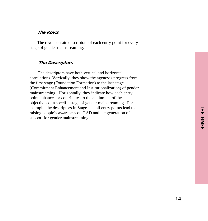#### **The Rows**

The rows contain descriptors of each entry point for every stage of gender mainstreaming.

#### **The Descriptors**

The descriptors have both vertical and horizontal correlations. Vertically, they show the agency's progress from the first stage (Foundation Formation) to the last stage (Commitment Enhancement and Institutionalization) of gender mainstreaming. Horizontally, they indicate how each entry point enhances or contributes to the attainment of the objectives of a specific stage of gender mainstreaming. For example, the descriptors in Stage 1 in all entry points lead to raising people's awareness on GAD and the generation of support for gender mainstreaming*.*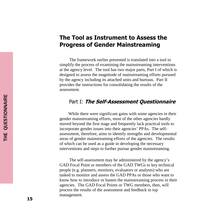### The Tool as Instrument to Assess the **Progress of Gender Mainstreaming**

The framework earlier presented is translated into a tool to simplify the process of examining the mainstreaming interventions at the agency level. The tool has two major parts, Part I of which is designed to assess the magnitude of mainstreaming efforts pursued by the agency including its attached units and bureaus. Part II provides the instructions for consolidating the results of the assessment.

#### Part I: The Self-Assessment Questionnaire

While there were significant gains with some agencies in their gender mainstreaming efforts, most of the other agencies hardly moved beyond the first stage and frequently lack practical tools to incorporate gender issues into their agencies' PPAs. The selfassessment, therefore, aims to identify strengths and developmental areas of gender mainstreaming efforts of the agencies. The results of which can be used as a guide in developing the necessary interventions and steps to further pursue gender mainstreaming.

The self-assessment may be administered by the agency's GAD Focal Point or members of the GAD TWGs to key technical people (e.g. planners, monitors, evaluators or analysts) who are tasked to monitor and assess the GAD PPAs or those who want to know how to introduce or hasten the mainstreaming process in their agencies. The GAD Focal Points or TWG members, then, will process the results of the assessment and feedback to top **15** management.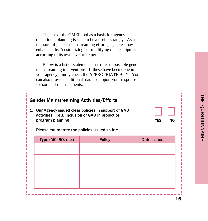The use of the GMEF tool as a basis for agency operational planning is seen to be a useful strategy. As a measure of gender mainstreaming efforts, agencies may enhance it by "customizing" or modifying the descriptors according to its own level of experience.

Below is a list of statements that refer to possible gender mainstreaming interventions. If these have been done in your agency, kindly check the APPROPRIATE BOX. You can also provide additional data to support your response for some of the statements.

| <b>Gender Mainstreaming Activities/Efforts</b>                              |                                                    |                         |
|-----------------------------------------------------------------------------|----------------------------------------------------|-------------------------|
| 1.<br>activities. (e.g. inclusion of GAD in project or<br>program planning) | Our Agency issued clear policies in support of GAD | <b>YES</b><br><b>NO</b> |
| Please enumerate the policies issued so far:                                |                                                    |                         |
| Type (MC, SO, etc.)                                                         | <b>Policy</b>                                      | <b>Date Issued</b>      |
|                                                                             |                                                    |                         |
|                                                                             |                                                    |                         |
|                                                                             |                                                    |                         |
|                                                                             |                                                    |                         |
|                                                                             |                                                    |                         |
|                                                                             |                                                    | 1 C                     |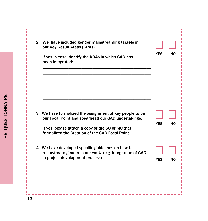| 2. We have included gender mainstreaming targets in<br>our Key Result Areas (KRAs).                                                              |            |
|--------------------------------------------------------------------------------------------------------------------------------------------------|------------|
| If yes, please identify the KRAs in which GAD has<br>been integrated:                                                                            | YFS        |
|                                                                                                                                                  |            |
| 3. We have formalized the assignment of key people to be<br>our Focal Point and spearhead our GAD undertakings.                                  | <b>YES</b> |
| If yes, please attach a copy of the SO or MC that<br>formalized the Creation of the GAD Focal Point.                                             |            |
| 4. We have developed specific guidelines on how to<br>mainstream gender in our work. (e.g. integration of GAD<br>in project development process) | <b>YES</b> |

 $NO$ 

П П

I Ī I П Ī П П

> Ī П П Ī

I I I Ï I I П ī i Ï i Ī Ī Г I П I П Г e.

 $NO$ 

 $NO$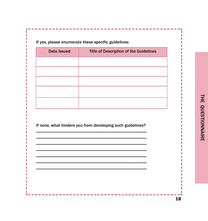If yes, please enumerate these specific guidelines:

| <b>Date Issued</b> | <b>Title of Description of the Guidelines</b> |
|--------------------|-----------------------------------------------|
|                    |                                               |
|                    |                                               |
|                    |                                               |
|                    |                                               |
|                    |                                               |

If none, what hinders you from developing such guidelines? BBBBBBBBBBBBBBBBBBBBBBBBBBBBBBBBBBBBBBBBBBBBBBBBBBB

BBBBBBBBBBBBBBBBBBBBBBBBBBBBBBBBBBBBBBBBBBBBBBBBBBB

BBBBBBBBBBBBBBBBBBBBBBBBBBBBBBBBBBBBBBBBBBBBBBBBBBB BBBBBBBBBBBBBBBBBBBBBBBBBBBBBBBBBBBBBBBBBBBBBBBBBBB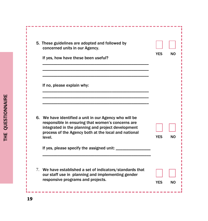| 5. These guidelines are adopted and followed by<br>concerned units in our Agency.<br>If yes, how have these been useful?                                                                                                            | <b>YFS</b> | NO |
|-------------------------------------------------------------------------------------------------------------------------------------------------------------------------------------------------------------------------------------|------------|----|
| If no, please explain why:                                                                                                                                                                                                          |            |    |
| 6. We have identified a unit in our Agency who will be<br>responsible in ensuring that women's concerns are<br>integrated in the planning and project development<br>process of the Agency both at the local and national<br>level. | YES        | NO |
| If yes, please specify the assigned unit: ____                                                                                                                                                                                      |            |    |
| 7. We have established a set of indicators/standards that<br>our staff use in planning and implementing gender<br>responsive programs and projects.                                                                                 | YES        | NO |

ь

F Ĩ ľ

П

Г г

Г П г г П П Г Г T T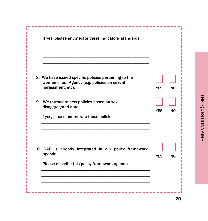| 8. We have issued specific policies pertaining to the<br>women in our Agency (e.g. policies on sexual<br>harassment, etc). | <b>YES</b> | NΟ             |
|----------------------------------------------------------------------------------------------------------------------------|------------|----------------|
| 9. We formulate new policies based on sex-<br>disaggregated data.<br>If yes, please enumerate these policies:              | <b>YES</b> | N <sub>O</sub> |
| 10. GAD is already integrated in our policy framework<br>agenda.<br>Please describe this policy framework agenda.          | <b>YES</b> | <b>NO</b>      |

----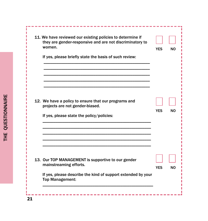| 11. We have reviewed our existing policies to determine if<br>they are gender-responsive and are not discriminatory to<br>women.     | <b>YES</b> | <b>NO</b> |
|--------------------------------------------------------------------------------------------------------------------------------------|------------|-----------|
| If yes, please briefly state the basis of such review:                                                                               |            |           |
| 12. We have a policy to ensure that our programs and<br>projects are not gender-biased.<br>If yes, please state the policy/policies: | YES        | NO        |
| 13. Our TOP MANAGEMENT is supportive to our gender                                                                                   |            |           |
| mainstreaming efforts.<br>If yes, please describe the kind of support extended by your<br><b>Top Management:</b>                     | <b>YES</b> | <b>NO</b> |

F П

> г П г

> Г П

L Г

Г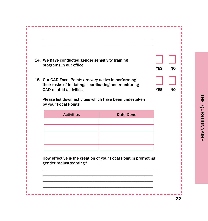

\_\_\_\_\_\_\_\_\_\_\_\_\_\_\_\_\_\_\_\_\_\_\_\_\_\_\_\_\_\_\_\_\_\_\_\_\_\_\_\_\_\_\_\_\_\_\_\_\_\_\_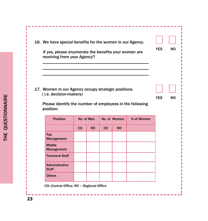16. We have special benefits for the women in our Agency. If yes, please enumerate the benefits your women are receiving from your Agency? BBBBBBBBBBBBBBBBBBBBBBBBBBBBBBBBBBBBBBBBBBBBBBBBB BBBBBBBBBBBBBBBBBBBBBBBBBBBBBBBBBBBBBBBBBBBBBBBBB 17. Women in our Agency occupy strategic positions. (i.e. decision-makers) Please identify the number of employees in the following position: Position | No. of Men | No. of Women | % of Women  $\overline{c}$   $\overline{c}$   $\overline{c}$   $\overline{c}$   $\overline{c}$   $\overline{c}$   $\overline{c}$   $\overline{c}$   $\overline{c}$   $\overline{c}$   $\overline{c}$   $\overline{c}$   $\overline{c}$   $\overline{c}$   $\overline{c}$   $\overline{c}$   $\overline{c}$   $\overline{c}$   $\overline{c}$   $\overline{c}$   $\overline{c}$   $\overline{c}$   $\overline{c}$   $\overline{c}$   $\overline{$ Top Management **Middle** Management **Technical Staff Administrative** Staff **Others** YES NO YES NO

**Contract Contract Contract Contract** 

CO-Central Office; RO - Regional Office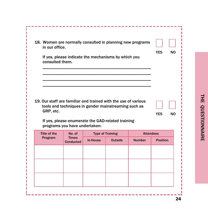| 18. Women are normally consulted in planning new programs<br>in our office. |                                  |                         |                                                                                                           |                  | <b>YES</b><br>NO        |
|-----------------------------------------------------------------------------|----------------------------------|-------------------------|-----------------------------------------------------------------------------------------------------------|------------------|-------------------------|
| consulted them.                                                             |                                  |                         | If yes, please indicate the mechanisms by which you                                                       |                  |                         |
|                                                                             |                                  |                         |                                                                                                           |                  |                         |
| GRP, etc.                                                                   | programs you have undertaken:    |                         | tools and techniques in gender mainstreaming such as<br>If yes, please enumerate the GAD-related training |                  | <b>YES</b><br><b>NO</b> |
| Title of the                                                                | No. of                           | <b>Type of Training</b> |                                                                                                           | <b>Attendees</b> |                         |
| 19. Our staff are familiar and trained with the use of various<br>Program   | <b>Times</b><br><b>Conducted</b> | <b>In-House</b>         | <b>Outside</b>                                                                                            | <b>Number</b>    | <b>Position</b>         |
|                                                                             |                                  |                         |                                                                                                           |                  |                         |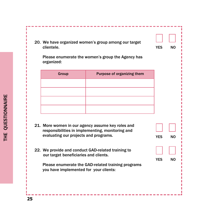| clientele.<br>organized:                                                        | 20. We have organized women's group among our target<br>Please enumerate the women's group the Agency has | <b>YES</b> | NO        |
|---------------------------------------------------------------------------------|-----------------------------------------------------------------------------------------------------------|------------|-----------|
| <b>Group</b>                                                                    | <b>Purpose of organizing them</b>                                                                         |            |           |
| evaluating our projects and programs.                                           | 21. More women in our agency assume key roles and<br>responsibilities in implementing, monitoring and     | <b>YES</b> | NΟ        |
| our target beneficiaries and clients.<br>you have implemented for your clients: | 22. We provide and conduct GAD-related training to<br>Please enumerate the GAD-related training programs  | <b>YES</b> | <b>NO</b> |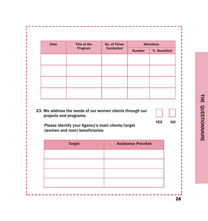|                                                                                                               | Program | <b>No. of Times</b> |                            | <b>Attendees</b>        |
|---------------------------------------------------------------------------------------------------------------|---------|---------------------|----------------------------|-------------------------|
|                                                                                                               |         | <b>Conducted</b>    | <b>Number</b>              | % Benefited             |
|                                                                                                               |         |                     |                            |                         |
|                                                                                                               |         |                     |                            |                         |
|                                                                                                               |         |                     |                            |                         |
|                                                                                                               |         |                     |                            |                         |
|                                                                                                               |         |                     |                            |                         |
|                                                                                                               |         |                     |                            |                         |
|                                                                                                               |         |                     |                            |                         |
|                                                                                                               |         |                     |                            |                         |
| projects and programs.<br>Please identify your Agency's main clients/target<br>(women and men) beneficiaries: |         |                     |                            | <b>YES</b><br><b>NO</b> |
| 23. We address the needs of our women clients through our<br><b>Target</b>                                    |         |                     | <b>Assistance Provided</b> |                         |

ь

П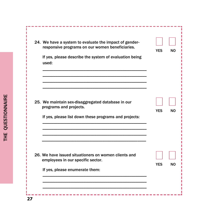| 24. We have a system to evaluate the impact of gender-<br>responsive programs on our women beneficiaries.<br>If yes, please describe the system of evaluation being<br>used: | <b>YES</b><br><b>NO</b> |  |
|------------------------------------------------------------------------------------------------------------------------------------------------------------------------------|-------------------------|--|
| 25. We maintain sex-disaggregated database in our<br>programs and projects.<br>If yes, please list down these programs and projects:                                         | <b>YES</b><br><b>NO</b> |  |
| 26. We have issued situationers on women clients and<br>employees in our specific sector.<br>If yes, please enumerate them:                                                  | <b>YES</b><br><b>NO</b> |  |
|                                                                                                                                                                              |                         |  |

 $\frac{1}{27}$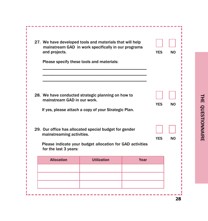| 27. We have developed tools and materials that will help<br>mainstream GAD in work specifically in our programs<br>and projects. | <b>YES</b>                                                                                                          | NΟ   |            |    |
|----------------------------------------------------------------------------------------------------------------------------------|---------------------------------------------------------------------------------------------------------------------|------|------------|----|
|                                                                                                                                  | Please specify these tools and materials:                                                                           |      |            |    |
| mainstream GAD in our work.                                                                                                      | 28. We have conducted strategic planning on how to<br>If yes, please attach a copy of your Strategic Plan.          |      | <b>YFS</b> | NΟ |
| mainstreaming activities.<br>for the last 3 years:                                                                               | 29. Our office has allocated special budget for gender<br>Please indicate your budget allocation for GAD activities |      | <b>YES</b> | NΟ |
| <b>Allocation</b>                                                                                                                | <b>Utilization</b>                                                                                                  | Year |            |    |
|                                                                                                                                  |                                                                                                                     |      |            |    |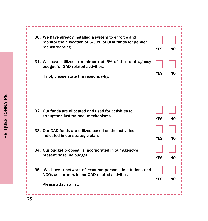| mainstreaming. | 30. We have already installed a system to enforce and<br>monitor the allocation of 5-30% of ODA funds for gender                        | <b>YES</b> | NΟ        |
|----------------|-----------------------------------------------------------------------------------------------------------------------------------------|------------|-----------|
|                | 31. We have utilized a minimum of 5% of the total agency<br>budget for GAD-related activities.<br>If not, please state the reasons why: | <b>YES</b> | <b>NO</b> |
|                | 32. Our funds are allocated and used for activities to<br>strengthen institutional mechanisms.                                          | <b>YES</b> | NO        |
|                | 33. Our GAD funds are utilized based on the activities<br>indicated in our strategic plan.                                              | <b>YES</b> | NΟ        |
|                | 34. Our budget proposal is incorporated in our agency's<br>present baseline budget.                                                     | <b>YFS</b> | <b>NO</b> |
|                | 35. We have a network of resource persons, institutions and<br>NGOs as partners in our GAD-related activities.<br>Please attach a list. | <b>YES</b> | <b>NO</b> |

Ŀ

T

п

Г Г

I. Г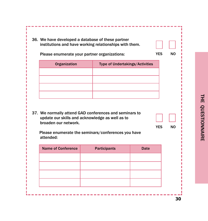| institutions and have working relationships with them.<br>Please enumerate your partner organizations:                            |                                        |      | <b>YES</b> | <b>NO</b> |
|-----------------------------------------------------------------------------------------------------------------------------------|----------------------------------------|------|------------|-----------|
| Organization                                                                                                                      | <b>Type of Undertakings/Activities</b> |      |            |           |
|                                                                                                                                   |                                        |      |            |           |
|                                                                                                                                   |                                        |      |            |           |
|                                                                                                                                   |                                        |      |            |           |
| 37. We normally attend GAD conferences and seminars to<br>update our skills and acknowledge as well as to<br>broaden our network. |                                        |      | <b>YES</b> | <b>NO</b> |
| Please enumerate the seminars/conferences you have<br>attended:                                                                   |                                        |      |            |           |
| <b>Name of Conference</b>                                                                                                         | <b>Participants</b>                    | Date |            |           |
|                                                                                                                                   |                                        |      |            |           |
|                                                                                                                                   |                                        |      |            |           |

. . . . . .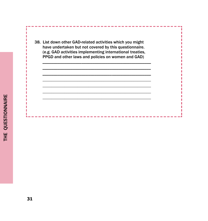38. List down other GAD-related activities which you might have undertaken but not covered by this questionnaire. (e.g. GAD activities implementing international treaties, PPGD and other laws and policies on women and GAD)

BBBBBBBBBBBBBBBBBBBBBBBBBBBBBBBBBBBBBBBBBBBBBBBBBB BBBBBBBBBBBBBBBBBBBBBBBBBBBBBBBBBBBBBBBBBBBBBBBBBB

 \_\_\_\_\_\_\_\_\_\_\_\_\_\_\_\_\_\_\_\_\_\_\_\_\_\_\_\_\_\_\_\_\_\_\_\_\_\_\_\_\_\_\_\_\_\_\_\_\_\_ \_\_\_\_\_\_\_\_\_\_\_\_\_\_\_\_\_\_\_\_\_\_\_\_\_\_\_\_\_\_\_\_\_\_\_\_\_\_\_\_\_\_\_\_\_\_\_\_\_\_ \_\_\_\_\_\_\_\_\_\_\_\_\_\_\_\_\_\_\_\_\_\_\_\_\_\_\_\_\_\_\_\_\_\_\_\_\_\_\_\_\_\_\_\_\_\_\_\_\_\_ \_\_\_\_\_\_\_\_\_\_\_\_\_\_\_\_\_\_\_\_\_\_\_\_\_\_\_\_\_\_\_\_\_\_\_\_\_\_\_\_\_\_\_\_\_\_\_\_\_\_

Г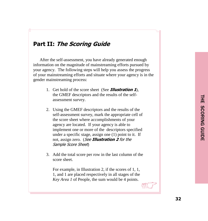# Part II: The Scoring Guide

After the self-assessment, you have already generated enough information on the magnitude of mainstreaming efforts pursued by your agency. The following steps will help you assess the progress of your mainstreaming efforts and situate where your agency is in the gender mainstreaming process:

- 1. Get hold of the score sheet (See **Illustration 1**), the GMEF descriptors and the results of the selfassessment survey.
- 2. Using the GMEF descriptors and the results of the self-assessment survey, mark the appropriate cell of the score sheet where accomplishments of your agency are located. If your agency is able to implement one or more of the descriptors specified under a specific stage, assign one (1) point to it. If not, assign zero. (See **Illustration 2** for the Sample Score Sheet)
- 3. Add the total score per row in the last column of the score sheet.

For example, in Illustration 2, if the scores of 1, 1, 1, and 1 are placed respectively in all stages of the *Key Area 1* of People, the sum would be 4 points.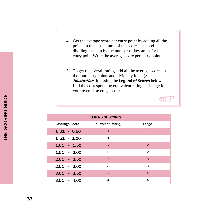- 4. Get the average score per entry point by adding all the points in the last column of the score sheet and dividing the sum by the number of key areas for that entry point.Write the average score per entry point.
- 5. To get the overall rating, add all the average scores in the four entry points and divide by four*.* (See **Illustration 3**). Using the Legend of Scores below, find the corresponding equivalent rating and stage for your overall average score.

| <b>LEGEND OF SCORES</b> |                          |                |  |  |  |  |  |  |
|-------------------------|--------------------------|----------------|--|--|--|--|--|--|
| <b>Average Score</b>    | <b>Equivalent Rating</b> | <b>Stage</b>   |  |  |  |  |  |  |
| $0.01 - 0.50$           | $\mathbf{1}$             | $\mathbf{1}$   |  |  |  |  |  |  |
| $0.51 - 1.00$           | $+1$                     | $\mathbf{1}$   |  |  |  |  |  |  |
| $1.01 - 1.50$           | $\overline{2}$           | $\overline{2}$ |  |  |  |  |  |  |
| $1.51 - 2.00$           | $+2$                     | $\mathbf{2}$   |  |  |  |  |  |  |
| $2.01 - 2.50$           | 3                        | 3              |  |  |  |  |  |  |
| $2.51 - 3.00$           | $+3$                     | 3              |  |  |  |  |  |  |
| $3.01 - 3.50$           | $\overline{4}$           | 4              |  |  |  |  |  |  |
| 3.51<br>- 4.00          | $+4$                     | 4              |  |  |  |  |  |  |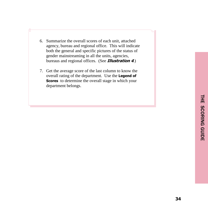- 6. Summarize the overall scores of each unit, attached agency, bureau and regional office. This will indicate both the general and specific pictures of the status of gender mainstreaming in all the units, agencies, bureaus and regional offices. (See **Illustration 4**.)
- 7. Get the average score of the last column to know the overall rating of the department. Use the Legend of Scores to determine the overall stage in which your department belongs.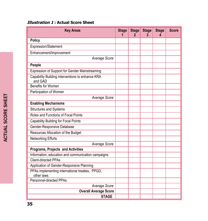#### **Illustration 1: Actual Score Sheet**

| <b>Key Areas</b>                                              | <b>Stage</b><br>1 | <b>Stage</b><br>2 | <b>Stage</b><br>3. | <b>Stage</b><br>4 | <b>Score</b> |
|---------------------------------------------------------------|-------------------|-------------------|--------------------|-------------------|--------------|
| <b>Policy</b>                                                 |                   |                   |                    |                   |              |
| Expression/Statement                                          |                   |                   |                    |                   |              |
| Enhancement/Improvement                                       |                   |                   |                    |                   |              |
| Average Score                                                 |                   |                   |                    |                   |              |
| People                                                        |                   |                   |                    |                   |              |
| Expression of Support for Gender Mainstreaming                |                   |                   |                    |                   |              |
| Capability Building interventions to enhance KRA<br>and GAD   |                   |                   |                    |                   |              |
| <b>Benefits for Women</b>                                     |                   |                   |                    |                   |              |
| Participation of Women                                        |                   |                   |                    |                   |              |
| Average Score                                                 |                   |                   |                    |                   |              |
| <b>Enabling Mechanisms</b>                                    |                   |                   |                    |                   |              |
| <b>Structures and Systems</b>                                 |                   |                   |                    |                   |              |
| Roles and Functions of Focal Points                           |                   |                   |                    |                   |              |
| <b>Capability Building for Focal Points</b>                   |                   |                   |                    |                   |              |
| Gender-Responsive Database                                    |                   |                   |                    |                   |              |
| Resources Allocation of the Budget                            |                   |                   |                    |                   |              |
| Networking Efforts                                            |                   |                   |                    |                   |              |
| Average Score                                                 |                   |                   |                    |                   |              |
| <b>Programs, Projects and Activities</b>                      |                   |                   |                    |                   |              |
| Information, education and communication campaigns            |                   |                   |                    |                   |              |
| <b>Client-directed PPAs</b>                                   |                   |                   |                    |                   |              |
| Application of Gender-Responsive Planning                     |                   |                   |                    |                   |              |
| PPAs implementing international treaties, PPGD,<br>other laws |                   |                   |                    |                   |              |
| Personnel-directed PPAs                                       |                   |                   |                    |                   |              |
| Average Score                                                 |                   |                   |                    |                   |              |
| <b>Overall Average Score</b>                                  |                   |                   |                    |                   |              |
| <b>STAGE</b>                                                  |                   |                   |                    |                   |              |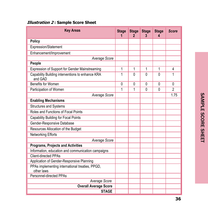| <b>Key Areas</b>                                            | <b>Stage</b><br>1 | <b>Stage</b><br>2 | <b>Stage</b><br>3 | <b>Stage</b><br>4 | <b>Score</b>   |
|-------------------------------------------------------------|-------------------|-------------------|-------------------|-------------------|----------------|
| <b>Policy</b>                                               |                   |                   |                   |                   |                |
| Expression/Statement                                        |                   |                   |                   |                   |                |
| Enhancement/Improvement                                     |                   |                   |                   |                   |                |
| Average Score                                               |                   |                   |                   |                   |                |
| People                                                      |                   |                   |                   |                   |                |
| Expression of Support for Gender Mainstreaming              | 1                 | 1                 | 1                 | 1                 | 4              |
| Capability Building interventions to enhance KRA<br>and GAD | 1                 | $\Omega$          | $\Omega$          | $\Omega$          | 1              |
| <b>Benefits for Women</b>                                   | $\mathbf 0$       | $\mathbf 0$       | $\Omega$          | $\Omega$          | $\mathbf{0}$   |
| Participation of Women                                      | 1                 | 1                 | 0                 | $\Omega$          | $\overline{2}$ |
| Average Score                                               |                   |                   |                   |                   | 1.75           |
| <b>Enabling Mechanisms</b>                                  |                   |                   |                   |                   |                |
| <b>Structures and Systems</b>                               |                   |                   |                   |                   |                |
| Roles and Functions of Focal Points                         |                   |                   |                   |                   |                |
| <b>Capability Building for Focal Points</b>                 |                   |                   |                   |                   |                |
| Gender-Responsive Database                                  |                   |                   |                   |                   |                |
| Resources Allocation of the Budget                          |                   |                   |                   |                   |                |
| <b>Networking Efforts</b>                                   |                   |                   |                   |                   |                |
| Average Score                                               |                   |                   |                   |                   |                |
| <b>Programs, Projects and Activities</b>                    |                   |                   |                   |                   |                |
| Information, education and communication campaigns          |                   |                   |                   |                   |                |
| <b>Client-directed PPAs</b>                                 |                   |                   |                   |                   |                |
| Application of Gender-Responsive Planning                   |                   |                   |                   |                   |                |
| PPAs implementing international treaties, PPGD,             |                   |                   |                   |                   |                |
| other laws                                                  |                   |                   |                   |                   |                |
| Personnel-directed PPAs                                     |                   |                   |                   |                   |                |
| Average Score<br><b>Overall Average Score</b>               |                   |                   |                   |                   |                |
| <b>STAGE</b>                                                |                   |                   |                   |                   |                |
|                                                             |                   |                   |                   |                   |                |

### **Illustration 2: Sample Score Sheet**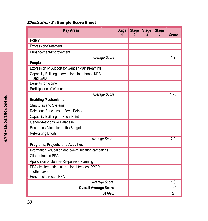# **Illustration 3: Sample Score Sheet**

| <b>Key Areas</b>                                              | <b>Stage</b><br>1 | <b>Stage</b><br>2 | <b>Stage</b><br>3 | <b>Stage</b><br>4 | <b>Score</b>   |
|---------------------------------------------------------------|-------------------|-------------------|-------------------|-------------------|----------------|
| <b>Policy</b>                                                 |                   |                   |                   |                   |                |
| Expression/Statement                                          |                   |                   |                   |                   |                |
| Enhancement/Improvement                                       |                   |                   |                   |                   |                |
| Average Score                                                 |                   |                   |                   |                   | 1.2            |
| People                                                        |                   |                   |                   |                   |                |
| <b>Expression of Support for Gender Mainstreaming</b>         |                   |                   |                   |                   |                |
| Capability Building interventions to enhance KRA<br>and GAD   |                   |                   |                   |                   |                |
| <b>Benefits for Women</b>                                     |                   |                   |                   |                   |                |
| Participation of Women                                        |                   |                   |                   |                   |                |
| Average Score                                                 |                   |                   |                   |                   | 1.75           |
| <b>Enabling Mechanisms</b>                                    |                   |                   |                   |                   |                |
| <b>Structures and Systems</b>                                 |                   |                   |                   |                   |                |
| Roles and Functions of Focal Points                           |                   |                   |                   |                   |                |
| <b>Capability Building for Focal Points</b>                   |                   |                   |                   |                   |                |
| Gender-Responsive Database                                    |                   |                   |                   |                   |                |
| Resources Allocation of the Budget                            |                   |                   |                   |                   |                |
| Networking Efforts                                            |                   |                   |                   |                   |                |
| Average Score                                                 |                   |                   |                   |                   | 2.0            |
| <b>Programs, Projects and Activities</b>                      |                   |                   |                   |                   |                |
| Information, education and communication campaigns            |                   |                   |                   |                   |                |
| <b>Client-directed PPAs</b>                                   |                   |                   |                   |                   |                |
| Application of Gender-Responsive Planning                     |                   |                   |                   |                   |                |
| PPAs implementing international treaties, PPGD,<br>other laws |                   |                   |                   |                   |                |
| <b>Personnel-directed PPAs</b>                                |                   |                   |                   |                   |                |
| Average Score                                                 |                   |                   |                   |                   | 1.0            |
| <b>Overall Average Score</b>                                  |                   |                   |                   |                   | 1.49           |
| <b>STAGE</b>                                                  |                   |                   |                   |                   | $\overline{2}$ |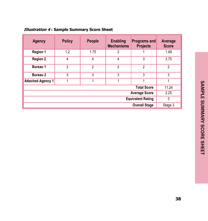| <b>Agency</b>            | <b>Policy</b>  | <b>People</b>  | <b>Enabling</b><br><b>Mechanisms</b> | <b>Programs and</b><br><b>Projects</b> | Average<br><b>Score</b> |  |  |  |  |
|--------------------------|----------------|----------------|--------------------------------------|----------------------------------------|-------------------------|--|--|--|--|
| <b>Region 1</b>          | 1.2            | 1.75           | $\overline{2}$                       |                                        | 1.49                    |  |  |  |  |
| <b>Region 2</b>          | 4              | 4              | 4                                    | 3                                      | 3.75                    |  |  |  |  |
| <b>Bureau 1</b>          | $\overline{2}$ | $\overline{2}$ | $\overline{2}$                       | $\overline{2}$                         | $\overline{2}$          |  |  |  |  |
| <b>Bureau 2</b>          | 3              | 3              | 3                                    | 3                                      | 3                       |  |  |  |  |
| <b>Attached Agency 1</b> | 1              | 1<br>1<br>4    |                                      |                                        |                         |  |  |  |  |
| <b>Total Score</b>       |                |                |                                      |                                        |                         |  |  |  |  |
| <b>Average Score</b>     |                |                |                                      |                                        |                         |  |  |  |  |
| <b>Equivalent Rating</b> |                |                |                                      |                                        |                         |  |  |  |  |
| <b>Overall Stage</b>     |                |                |                                      |                                        |                         |  |  |  |  |

#### **Illustration 4: Sample Summary Score Sheet**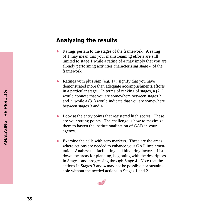### Analyzing the results

- ♦ Ratings pertain to the stages of the framework. A rating of 1 may mean that your mainstreaming efforts are still limited to stage 1 while a rating of 4 may imply that you are already performing activities characterizing stage 4 of the framework.
- Ratings with plus sign (e.g. 1+) signify that you have demonstrated more than adequate accomplishments/efforts in a particular stage. In terms of ranking of stages,  $a(2+)$ would connote that you are somewhere between stages 2 and 3; while a (3+) would indicate that you are somewhere between stages 3 and 4.
- $\triangle$  Look at the entry points that registered high scores. These are your strong points. The challenge is how to maximize them to hasten the institutionalization of GAD in your agency.
- $\bullet$  Examine the cells with zero markers. These are the areas where actions are needed to enhance your GAD implementation. Analyze the facilitating and hindering factors. List down the areas for planning, beginning with the descriptors in Stage 1 and progressing through Stage 4. Note that the actions in Stages 3 and 4 may not be possible nor sustainable without the needed actions in Stages 1 and 2.